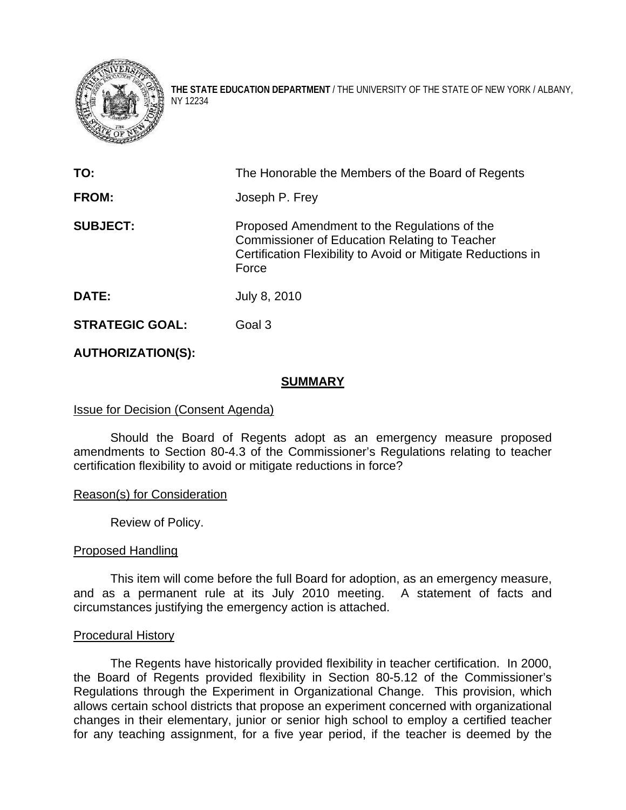

**THE STATE EDUCATION DEPARTMENT** / THE UNIVERSITY OF THE STATE OF NEW YORK / ALBANY, NY 12234

| TO:                    | The Honorable the Members of the Board of Regents                                                                                                                      |
|------------------------|------------------------------------------------------------------------------------------------------------------------------------------------------------------------|
| <b>FROM:</b>           | Joseph P. Frey                                                                                                                                                         |
| <b>SUBJECT:</b>        | Proposed Amendment to the Regulations of the<br>Commissioner of Education Relating to Teacher<br>Certification Flexibility to Avoid or Mitigate Reductions in<br>Force |
| <b>DATE:</b>           | July 8, 2010                                                                                                                                                           |
| <b>STRATEGIC GOAL:</b> | Goal 3                                                                                                                                                                 |

# **AUTHORIZATION(S):**

# **SUMMARY**

# Issue for Decision (Consent Agenda)

Should the Board of Regents adopt as an emergency measure proposed amendments to Section 80-4.3 of the Commissioner's Regulations relating to teacher certification flexibility to avoid or mitigate reductions in force?

# Reason(s) for Consideration

Review of Policy.

# Proposed Handling

This item will come before the full Board for adoption, as an emergency measure, and as a permanent rule at its July 2010 meeting. A statement of facts and circumstances justifying the emergency action is attached.

# Procedural History

The Regents have historically provided flexibility in teacher certification. In 2000, the Board of Regents provided flexibility in Section 80-5.12 of the Commissioner's Regulations through the Experiment in Organizational Change. This provision, which allows certain school districts that propose an experiment concerned with organizational changes in their elementary, junior or senior high school to employ a certified teacher for any teaching assignment, for a five year period, if the teacher is deemed by the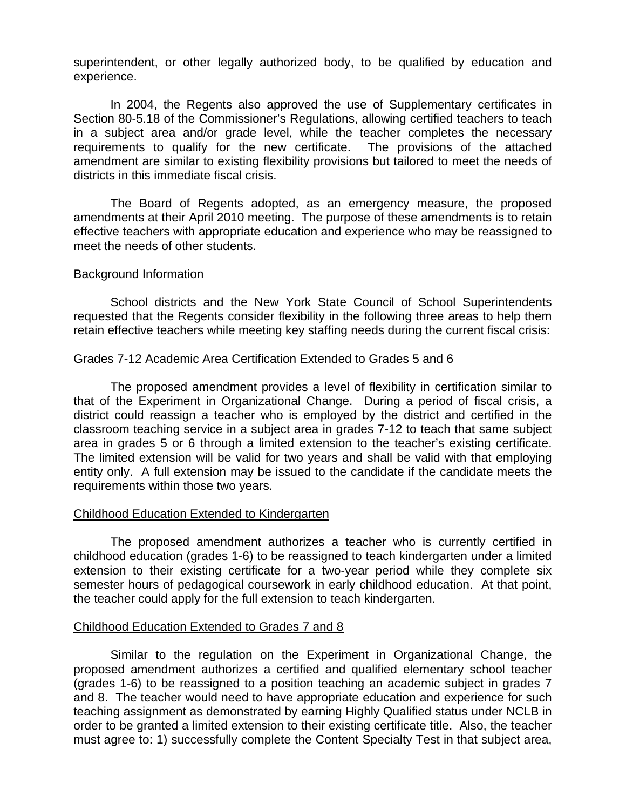superintendent, or other legally authorized body, to be qualified by education and experience.

In 2004, the Regents also approved the use of Supplementary certificates in Section 80-5.18 of the Commissioner's Regulations, allowing certified teachers to teach in a subject area and/or grade level, while the teacher completes the necessary requirements to qualify for the new certificate. The provisions of the attached amendment are similar to existing flexibility provisions but tailored to meet the needs of districts in this immediate fiscal crisis.

The Board of Regents adopted, as an emergency measure, the proposed amendments at their April 2010 meeting. The purpose of these amendments is to retain effective teachers with appropriate education and experience who may be reassigned to meet the needs of other students.

## Background Information

School districts and the New York State Council of School Superintendents requested that the Regents consider flexibility in the following three areas to help them retain effective teachers while meeting key staffing needs during the current fiscal crisis:

## Grades 7-12 Academic Area Certification Extended to Grades 5 and 6

The proposed amendment provides a level of flexibility in certification similar to that of the Experiment in Organizational Change. During a period of fiscal crisis, a district could reassign a teacher who is employed by the district and certified in the classroom teaching service in a subject area in grades 7-12 to teach that same subject area in grades 5 or 6 through a limited extension to the teacher's existing certificate. The limited extension will be valid for two years and shall be valid with that employing entity only. A full extension may be issued to the candidate if the candidate meets the requirements within those two years.

# Childhood Education Extended to Kindergarten

 The proposed amendment authorizes a teacher who is currently certified in childhood education (grades 1-6) to be reassigned to teach kindergarten under a limited extension to their existing certificate for a two-year period while they complete six semester hours of pedagogical coursework in early childhood education. At that point, the teacher could apply for the full extension to teach kindergarten.

#### Childhood Education Extended to Grades 7 and 8

Similar to the regulation on the Experiment in Organizational Change, the proposed amendment authorizes a certified and qualified elementary school teacher (grades 1-6) to be reassigned to a position teaching an academic subject in grades 7 and 8. The teacher would need to have appropriate education and experience for such teaching assignment as demonstrated by earning Highly Qualified status under NCLB in order to be granted a limited extension to their existing certificate title. Also, the teacher must agree to: 1) successfully complete the Content Specialty Test in that subject area,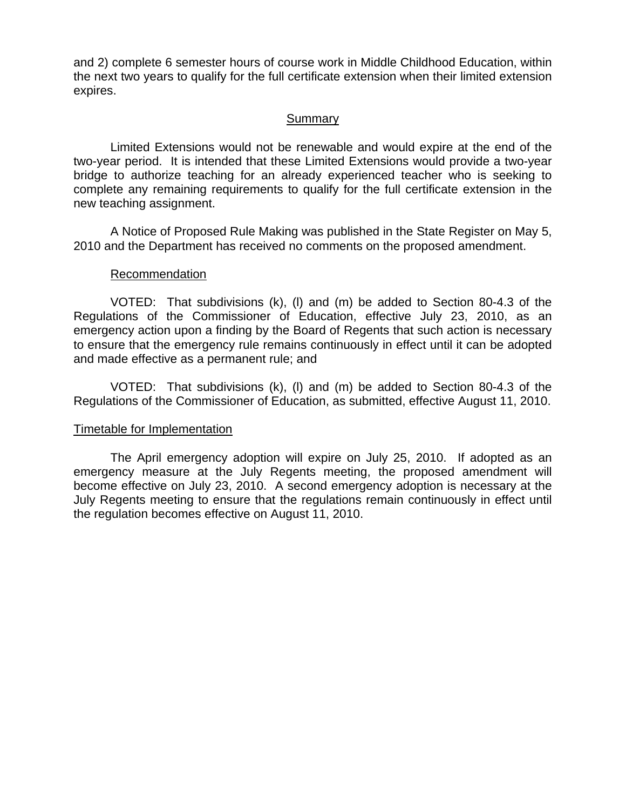and 2) complete 6 semester hours of course work in Middle Childhood Education, within the next two years to qualify for the full certificate extension when their limited extension expires.

# Summary

 Limited Extensions would not be renewable and would expire at the end of the two-year period. It is intended that these Limited Extensions would provide a two-year bridge to authorize teaching for an already experienced teacher who is seeking to complete any remaining requirements to qualify for the full certificate extension in the new teaching assignment.

 A Notice of Proposed Rule Making was published in the State Register on May 5, 2010 and the Department has received no comments on the proposed amendment.

# Recommendation

VOTED: That subdivisions (k), (l) and (m) be added to Section 80-4.3 of the Regulations of the Commissioner of Education, effective July 23, 2010, as an emergency action upon a finding by the Board of Regents that such action is necessary to ensure that the emergency rule remains continuously in effect until it can be adopted and made effective as a permanent rule; and

VOTED: That subdivisions (k), (l) and (m) be added to Section 80-4.3 of the Regulations of the Commissioner of Education, as submitted, effective August 11, 2010.

# Timetable for Implementation

The April emergency adoption will expire on July 25, 2010. If adopted as an emergency measure at the July Regents meeting, the proposed amendment will become effective on July 23, 2010. A second emergency adoption is necessary at the July Regents meeting to ensure that the regulations remain continuously in effect until the regulation becomes effective on August 11, 2010.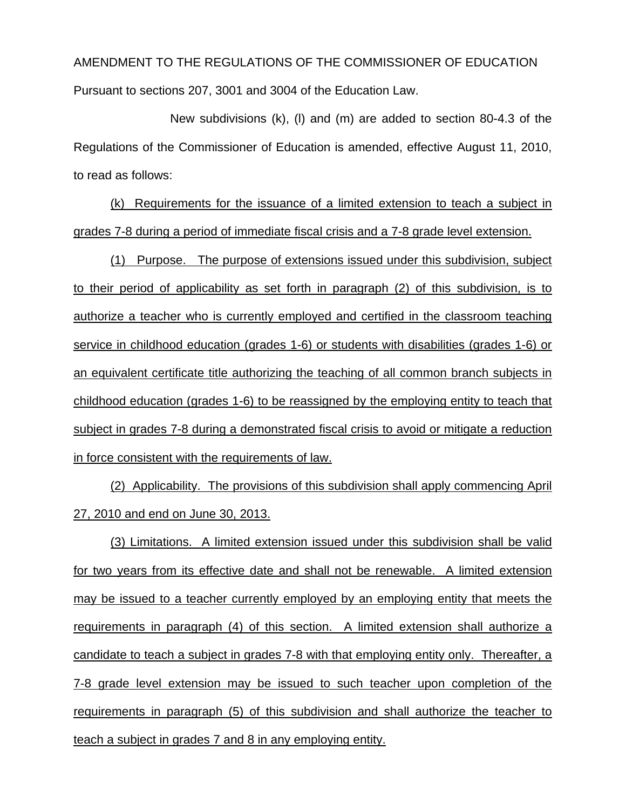# AMENDMENT TO THE REGULATIONS OF THE COMMISSIONER OF EDUCATION Pursuant to sections 207, 3001 and 3004 of the Education Law.

New subdivisions (k), (l) and (m) are added to section 80-4.3 of the Regulations of the Commissioner of Education is amended, effective August 11, 2010, to read as follows:

(k) Requirements for the issuance of a limited extension to teach a subject in grades 7-8 during a period of immediate fiscal crisis and a 7-8 grade level extension.

(1) Purpose. The purpose of extensions issued under this subdivision, subject to their period of applicability as set forth in paragraph (2) of this subdivision, is to authorize a teacher who is currently employed and certified in the classroom teaching service in childhood education (grades 1-6) or students with disabilities (grades 1-6) or an equivalent certificate title authorizing the teaching of all common branch subjects in childhood education (grades 1-6) to be reassigned by the employing entity to teach that subject in grades 7-8 during a demonstrated fiscal crisis to avoid or mitigate a reduction in force consistent with the requirements of law.

(2) Applicability. The provisions of this subdivision shall apply commencing April 27, 2010 and end on June 30, 2013.

(3) Limitations. A limited extension issued under this subdivision shall be valid for two years from its effective date and shall not be renewable. A limited extension may be issued to a teacher currently employed by an employing entity that meets the requirements in paragraph (4) of this section. A limited extension shall authorize a candidate to teach a subject in grades 7-8 with that employing entity only. Thereafter, a 7-8 grade level extension may be issued to such teacher upon completion of the requirements in paragraph (5) of this subdivision and shall authorize the teacher to teach a subject in grades 7 and 8 in any employing entity.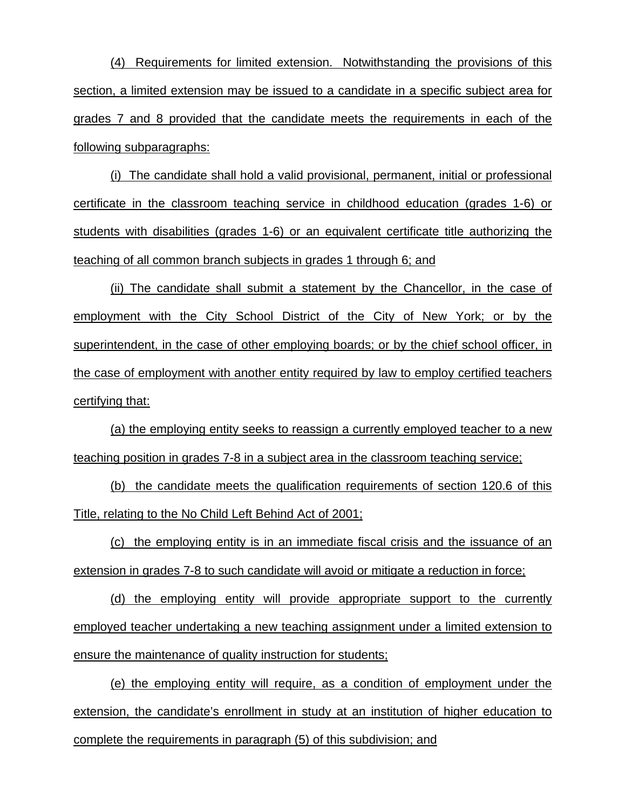(4) Requirements for limited extension. Notwithstanding the provisions of this section, a limited extension may be issued to a candidate in a specific subject area for grades 7 and 8 provided that the candidate meets the requirements in each of the following subparagraphs:

(i) The candidate shall hold a valid provisional, permanent, initial or professional certificate in the classroom teaching service in childhood education (grades 1-6) or students with disabilities (grades 1-6) or an equivalent certificate title authorizing the teaching of all common branch subjects in grades 1 through 6; and

(ii) The candidate shall submit a statement by the Chancellor, in the case of employment with the City School District of the City of New York; or by the superintendent, in the case of other employing boards; or by the chief school officer, in the case of employment with another entity required by law to employ certified teachers certifying that:

(a) the employing entity seeks to reassign a currently employed teacher to a new teaching position in grades 7-8 in a subject area in the classroom teaching service;

(b) the candidate meets the qualification requirements of section 120.6 of this Title, relating to the No Child Left Behind Act of 2001;

(c) the employing entity is in an immediate fiscal crisis and the issuance of an extension in grades 7-8 to such candidate will avoid or mitigate a reduction in force;

(d) the employing entity will provide appropriate support to the currently employed teacher undertaking a new teaching assignment under a limited extension to ensure the maintenance of quality instruction for students;

(e) the employing entity will require, as a condition of employment under the extension, the candidate's enrollment in study at an institution of higher education to complete the requirements in paragraph (5) of this subdivision; and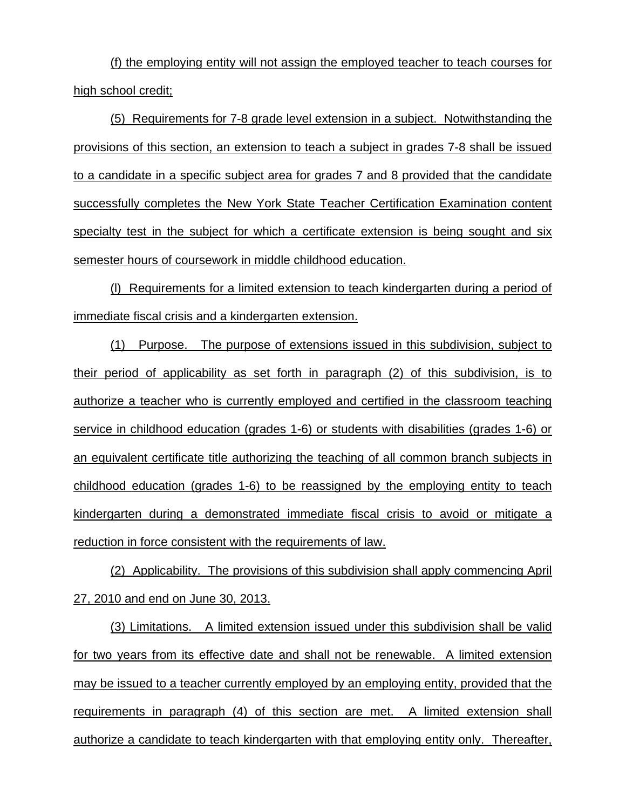(f) the employing entity will not assign the employed teacher to teach courses for high school credit;

(5) Requirements for 7-8 grade level extension in a subject. Notwithstanding the provisions of this section, an extension to teach a subject in grades 7-8 shall be issued to a candidate in a specific subject area for grades 7 and 8 provided that the candidate successfully completes the New York State Teacher Certification Examination content specialty test in the subject for which a certificate extension is being sought and six semester hours of coursework in middle childhood education.

(l) Requirements for a limited extension to teach kindergarten during a period of immediate fiscal crisis and a kindergarten extension.

(1) Purpose. The purpose of extensions issued in this subdivision, subject to their period of applicability as set forth in paragraph (2) of this subdivision, is to authorize a teacher who is currently employed and certified in the classroom teaching service in childhood education (grades 1-6) or students with disabilities (grades 1-6) or an equivalent certificate title authorizing the teaching of all common branch subjects in childhood education (grades 1-6) to be reassigned by the employing entity to teach kindergarten during a demonstrated immediate fiscal crisis to avoid or mitigate a reduction in force consistent with the requirements of law.

(2) Applicability. The provisions of this subdivision shall apply commencing April 27, 2010 and end on June 30, 2013.

(3) Limitations. A limited extension issued under this subdivision shall be valid for two years from its effective date and shall not be renewable. A limited extension may be issued to a teacher currently employed by an employing entity, provided that the requirements in paragraph (4) of this section are met. A limited extension shall authorize a candidate to teach kindergarten with that employing entity only. Thereafter,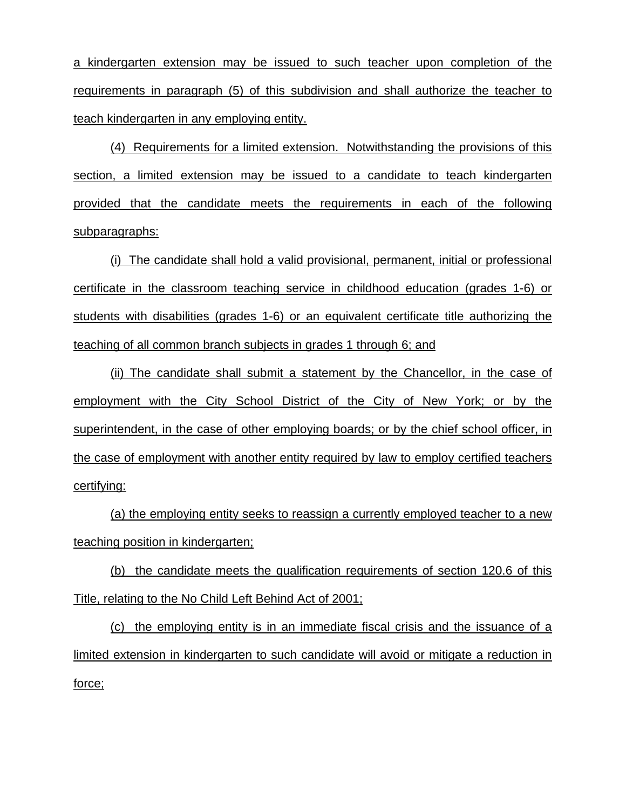a kindergarten extension may be issued to such teacher upon completion of the requirements in paragraph (5) of this subdivision and shall authorize the teacher to teach kindergarten in any employing entity.

(4) Requirements for a limited extension. Notwithstanding the provisions of this section, a limited extension may be issued to a candidate to teach kindergarten provided that the candidate meets the requirements in each of the following subparagraphs:

(i) The candidate shall hold a valid provisional, permanent, initial or professional certificate in the classroom teaching service in childhood education (grades 1-6) or students with disabilities (grades 1-6) or an equivalent certificate title authorizing the teaching of all common branch subjects in grades 1 through 6; and

(ii) The candidate shall submit a statement by the Chancellor, in the case of employment with the City School District of the City of New York; or by the superintendent, in the case of other employing boards; or by the chief school officer, in the case of employment with another entity required by law to employ certified teachers certifying:

(a) the employing entity seeks to reassign a currently employed teacher to a new teaching position in kindergarten;

(b) the candidate meets the qualification requirements of section 120.6 of this Title, relating to the No Child Left Behind Act of 2001;

(c) the employing entity is in an immediate fiscal crisis and the issuance of a limited extension in kindergarten to such candidate will avoid or mitigate a reduction in force;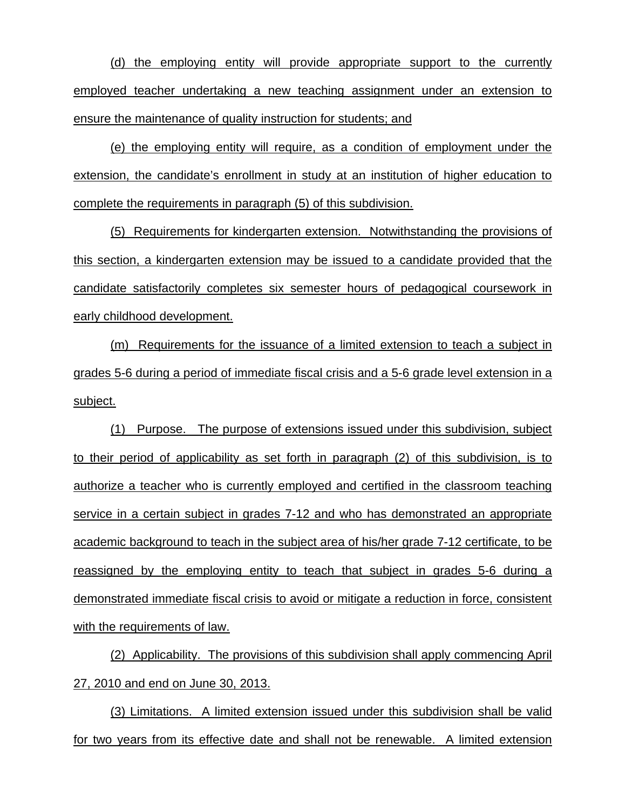(d) the employing entity will provide appropriate support to the currently employed teacher undertaking a new teaching assignment under an extension to ensure the maintenance of quality instruction for students; and

(e) the employing entity will require, as a condition of employment under the extension, the candidate's enrollment in study at an institution of higher education to complete the requirements in paragraph (5) of this subdivision.

(5) Requirements for kindergarten extension. Notwithstanding the provisions of this section, a kindergarten extension may be issued to a candidate provided that the candidate satisfactorily completes six semester hours of pedagogical coursework in early childhood development.

(m) Requirements for the issuance of a limited extension to teach a subject in grades 5-6 during a period of immediate fiscal crisis and a 5-6 grade level extension in a subject.

(1) Purpose. The purpose of extensions issued under this subdivision, subject to their period of applicability as set forth in paragraph (2) of this subdivision, is to authorize a teacher who is currently employed and certified in the classroom teaching service in a certain subject in grades 7-12 and who has demonstrated an appropriate academic background to teach in the subject area of his/her grade 7-12 certificate, to be reassigned by the employing entity to teach that subject in grades 5-6 during a demonstrated immediate fiscal crisis to avoid or mitigate a reduction in force, consistent with the requirements of law.

(2) Applicability. The provisions of this subdivision shall apply commencing April 27, 2010 and end on June 30, 2013.

(3) Limitations. A limited extension issued under this subdivision shall be valid for two years from its effective date and shall not be renewable. A limited extension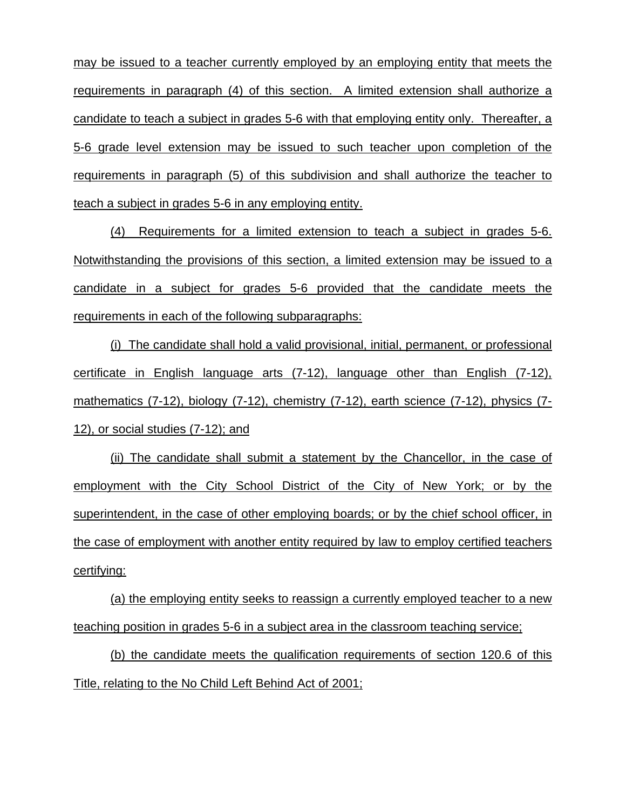may be issued to a teacher currently employed by an employing entity that meets the requirements in paragraph (4) of this section. A limited extension shall authorize a candidate to teach a subject in grades 5-6 with that employing entity only. Thereafter, a 5-6 grade level extension may be issued to such teacher upon completion of the requirements in paragraph (5) of this subdivision and shall authorize the teacher to teach a subject in grades 5-6 in any employing entity.

(4) Requirements for a limited extension to teach a subject in grades 5-6. Notwithstanding the provisions of this section, a limited extension may be issued to a candidate in a subject for grades 5-6 provided that the candidate meets the requirements in each of the following subparagraphs:

(i) The candidate shall hold a valid provisional, initial, permanent, or professional certificate in English language arts (7-12), language other than English (7-12), mathematics (7-12), biology (7-12), chemistry (7-12), earth science (7-12), physics (7-12), or social studies (7-12); and

(ii) The candidate shall submit a statement by the Chancellor, in the case of employment with the City School District of the City of New York; or by the superintendent, in the case of other employing boards; or by the chief school officer, in the case of employment with another entity required by law to employ certified teachers certifying:

(a) the employing entity seeks to reassign a currently employed teacher to a new teaching position in grades 5-6 in a subject area in the classroom teaching service;

(b) the candidate meets the qualification requirements of section 120.6 of this Title, relating to the No Child Left Behind Act of 2001;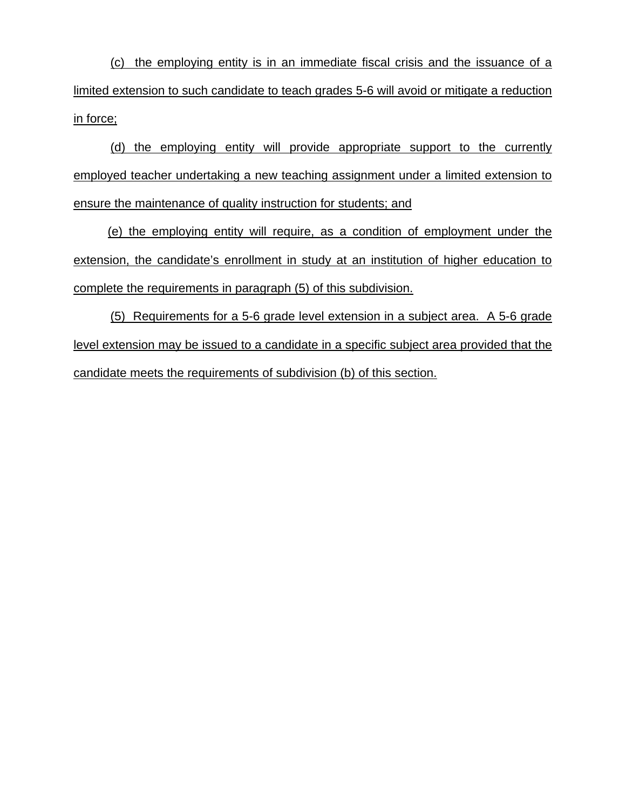(c) the employing entity is in an immediate fiscal crisis and the issuance of a limited extension to such candidate to teach grades 5-6 will avoid or mitigate a reduction in force;

(d) the employing entity will provide appropriate support to the currently employed teacher undertaking a new teaching assignment under a limited extension to ensure the maintenance of quality instruction for students; and

 (e) the employing entity will require, as a condition of employment under the extension, the candidate's enrollment in study at an institution of higher education to complete the requirements in paragraph (5) of this subdivision.

(5) Requirements for a 5-6 grade level extension in a subject area. A 5-6 grade level extension may be issued to a candidate in a specific subject area provided that the candidate meets the requirements of subdivision (b) of this section.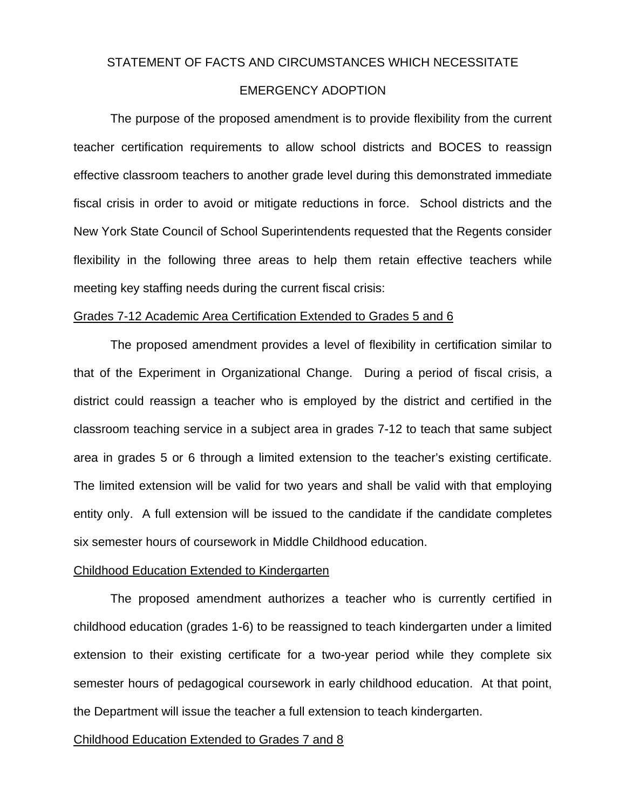### STATEMENT OF FACTS AND CIRCUMSTANCES WHICH NECESSITATE

# EMERGENCY ADOPTION

The purpose of the proposed amendment is to provide flexibility from the current teacher certification requirements to allow school districts and BOCES to reassign effective classroom teachers to another grade level during this demonstrated immediate fiscal crisis in order to avoid or mitigate reductions in force. School districts and the New York State Council of School Superintendents requested that the Regents consider flexibility in the following three areas to help them retain effective teachers while meeting key staffing needs during the current fiscal crisis:

## Grades 7-12 Academic Area Certification Extended to Grades 5 and 6

The proposed amendment provides a level of flexibility in certification similar to that of the Experiment in Organizational Change. During a period of fiscal crisis, a district could reassign a teacher who is employed by the district and certified in the classroom teaching service in a subject area in grades 7-12 to teach that same subject area in grades 5 or 6 through a limited extension to the teacher's existing certificate. The limited extension will be valid for two years and shall be valid with that employing entity only. A full extension will be issued to the candidate if the candidate completes six semester hours of coursework in Middle Childhood education.

### Childhood Education Extended to Kindergarten

 The proposed amendment authorizes a teacher who is currently certified in childhood education (grades 1-6) to be reassigned to teach kindergarten under a limited extension to their existing certificate for a two-year period while they complete six semester hours of pedagogical coursework in early childhood education. At that point, the Department will issue the teacher a full extension to teach kindergarten.

#### Childhood Education Extended to Grades 7 and 8